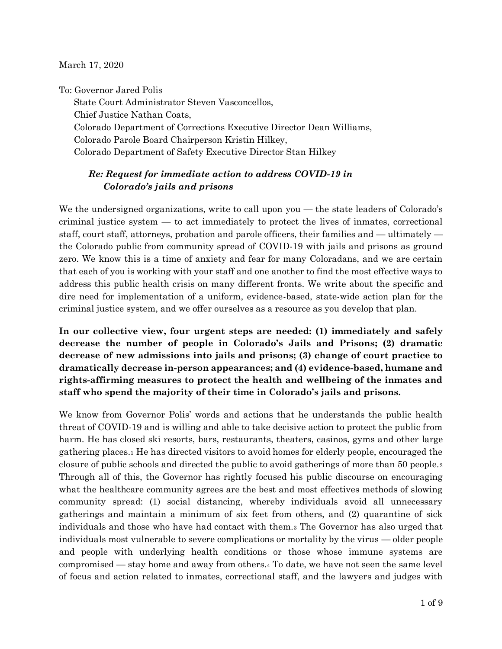March 17, 2020

To: Governor Jared Polis State Court Administrator Steven Vasconcellos, Chief Justice Nathan Coats, Colorado Department of Corrections Executive Director Dean Williams, Colorado Parole Board Chairperson Kristin Hilkey, Colorado Department of Safety Executive Director Stan Hilkey

## *Re: Request for immediate action to address COVID-19 in Colorado's jails and prisons*

We the undersigned organizations, write to call upon you — the state leaders of Colorado's criminal justice system — to act immediately to protect the lives of inmates, correctional staff, court staff, attorneys, probation and parole officers, their families and — ultimately the Colorado public from community spread of COVID-19 with jails and prisons as ground zero. We know this is a time of anxiety and fear for many Coloradans, and we are certain that each of you is working with your staff and one another to find the most effective ways to address this public health crisis on many different fronts. We write about the specific and dire need for implementation of a uniform, evidence-based, state-wide action plan for the criminal justice system, and we offer ourselves as a resource as you develop that plan.

**In our collective view, four urgent steps are needed: (1) immediately and safely decrease the number of people in Colorado's Jails and Prisons; (2) dramatic decrease of new admissions into jails and prisons; (3) change of court practice to dramatically decrease in-person appearances; and (4) evidence-based, humane and rights-affirming measures to protect the health and wellbeing of the inmates and staff who spend the majority of their time in Colorado's jails and prisons.** 

We know from Governor Polis' words and actions that he understands the public health threat of COVID-19 and is willing and able to take decisive action to protect the public from harm. He has closed ski resorts, bars, restaurants, theaters, casinos, gyms and other large gathering places.<sup>1</sup> He has directed visitors to avoid homes for elderly people, encouraged the closure of public schools and directed the public to avoid gatherings of more than 50 people.<sup>2</sup> Through all of this, the Governor has rightly focused his public discourse on encouraging what the healthcare community agrees are the best and most effectives methods of slowing community spread: (1) social distancing, whereby individuals avoid all unnecessary gatherings and maintain a minimum of six feet from others, and (2) quarantine of sick individuals and those who have had contact with them.<sup>3</sup> The Governor has also urged that individuals most vulnerable to severe complications or mortality by the virus — older people and people with underlying health conditions or those whose immune systems are compromised — stay home and away from others.<sup>4</sup> To date, we have not seen the same level of focus and action related to inmates, correctional staff, and the lawyers and judges with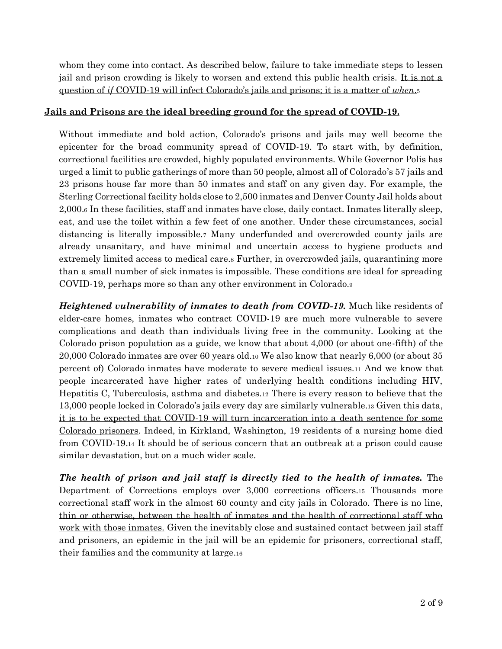whom they come into contact. As described below, failure to take immediate steps to lessen jail and prison crowding is likely to worsen and extend this public health crisis. It is not a question of *if* COVID-19 will infect Colorado's jails and prisons; it is a matter of *when*.<sup>5</sup>

## **Jails and Prisons are the ideal breeding ground for the spread of COVID-19.**

Without immediate and bold action, Colorado's prisons and jails may well become the epicenter for the broad community spread of COVID-19. To start with, by definition, correctional facilities are crowded, highly populated environments. While Governor Polis has urged a limit to public gatherings of more than 50 people, almost all of Colorado's 57 jails and 23 prisons house far more than 50 inmates and staff on any given day. For example, the Sterling Correctional facility holds close to 2,500 inmates and Denver County Jail holds about 2,000.<sup>6</sup> In these facilities, staff and inmates have close, daily contact. Inmates literally sleep, eat, and use the toilet within a few feet of one another. Under these circumstances, social distancing is literally impossible.<sup>7</sup> Many underfunded and overcrowded county jails are already unsanitary, and have minimal and uncertain access to hygiene products and extremely limited access to medical care.<sup>8</sup> Further, in overcrowded jails, quarantining more than a small number of sick inmates is impossible. These conditions are ideal for spreading COVID-19, perhaps more so than any other environment in Colorado.<sup>9</sup>

*Heightened vulnerability of inmates to death from COVID-19.* Much like residents of elder-care homes, inmates who contract COVID-19 are much more vulnerable to severe complications and death than individuals living free in the community. Looking at the Colorado prison population as a guide, we know that about 4,000 (or about one-fifth) of the 20,000 Colorado inmates are over 60 years old.<sup>10</sup> We also know that nearly 6,000 (or about 35 percent of) Colorado inmates have moderate to severe medical issues.<sup>11</sup> And we know that people incarcerated have higher rates of underlying health conditions including HIV, Hepatitis C, Tuberculosis, asthma and diabetes.<sup>12</sup> There is every reason to believe that the 13,000 people locked in Colorado's jails every day are similarly vulnerable.<sup>13</sup> Given this data, it is to be expected that COVID-19 will turn incarceration into a death sentence for some Colorado prisoners. Indeed, in Kirkland, Washington, 19 residents of a nursing home died from COVID-19.<sup>14</sup> It should be of serious concern that an outbreak at a prison could cause similar devastation, but on a much wider scale.

*The health of prison and jail staff is directly tied to the health of inmates.* The Department of Corrections employs over 3,000 corrections officers.<sup>15</sup> Thousands more correctional staff work in the almost 60 county and city jails in Colorado. There is no line, thin or otherwise, between the health of inmates and the health of correctional staff who work with those inmates. Given the inevitably close and sustained contact between jail staff and prisoners, an epidemic in the jail will be an epidemic for prisoners, correctional staff, their families and the community at large.16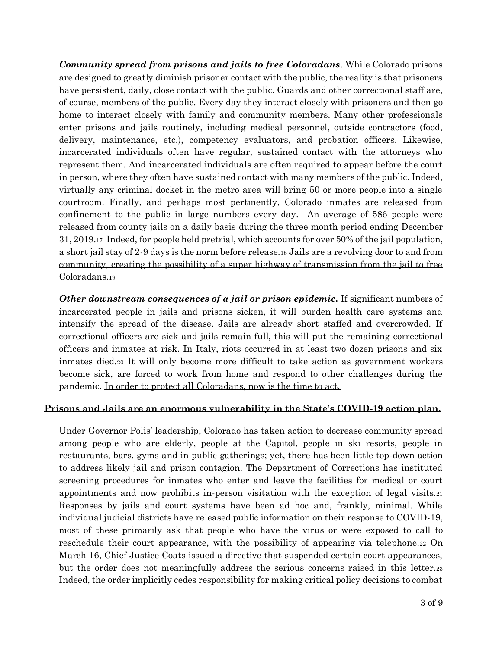*Community spread from prisons and jails to free Coloradans*. While Colorado prisons are designed to greatly diminish prisoner contact with the public, the reality is that prisoners have persistent, daily, close contact with the public. Guards and other correctional staff are, of course, members of the public. Every day they interact closely with prisoners and then go home to interact closely with family and community members. Many other professionals enter prisons and jails routinely, including medical personnel, outside contractors (food, delivery, maintenance, etc.), competency evaluators, and probation officers. Likewise, incarcerated individuals often have regular, sustained contact with the attorneys who represent them. And incarcerated individuals are often required to appear before the court in person, where they often have sustained contact with many members of the public. Indeed, virtually any criminal docket in the metro area will bring 50 or more people into a single courtroom. Finally, and perhaps most pertinently, Colorado inmates are released from confinement to the public in large numbers every day. An average of 586 people were released from county jails on a daily basis during the three month period ending December 31, 2019.<sup>17</sup> Indeed, for people held pretrial, which accounts for over 50% of the jail population, a short jail stay of 2-9 days is the norm before release.<sup>18</sup> Jails are a revolving door to and from community, creating the possibility of a super highway of transmission from the jail to free Coloradans.<sup>19</sup>

*Other downstream consequences of a jail or prison epidemic.* If significant numbers of incarcerated people in jails and prisons sicken, it will burden health care systems and intensify the spread of the disease. Jails are already short staffed and overcrowded. If correctional officers are sick and jails remain full, this will put the remaining correctional officers and inmates at risk. In Italy, riots occurred in at least two dozen prisons and six inmates died.<sup>20</sup> It will only become more difficult to take action as government workers become sick, are forced to work from home and respond to other challenges during the pandemic. In order to protect all Coloradans, now is the time to act.

## **Prisons and Jails are an enormous vulnerability in the State's COVID-19 action plan.**

Under Governor Polis' leadership, Colorado has taken action to decrease community spread among people who are elderly, people at the Capitol, people in ski resorts, people in restaurants, bars, gyms and in public gatherings; yet, there has been little top-down action to address likely jail and prison contagion. The Department of Corrections has instituted screening procedures for inmates who enter and leave the facilities for medical or court appointments and now prohibits in-person visitation with the exception of legal visits.<sup>21</sup> Responses by jails and court systems have been ad hoc and, frankly, minimal. While individual judicial districts have released public information on their response to COVID-19, most of these primarily ask that people who have the virus or were exposed to call to reschedule their court appearance, with the possibility of appearing via telephone. 22 On March 16, Chief Justice Coats issued a directive that suspended certain court appearances, but the order does not meaningfully address the serious concerns raised in this letter.<sup>23</sup> Indeed, the order implicitly cedes responsibility for making critical policy decisions to combat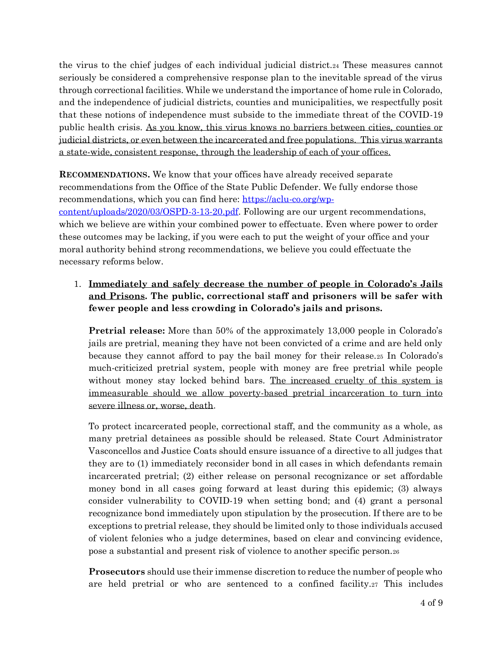the virus to the chief judges of each individual judicial district.<sup>24</sup> These measures cannot seriously be considered a comprehensive response plan to the inevitable spread of the virus through correctional facilities. While we understand the importance of home rule in Colorado, and the independence of judicial districts, counties and municipalities, we respectfully posit that these notions of independence must subside to the immediate threat of the COVID-19 public health crisis. As you know, this virus knows no barriers between cities, counties or judicial districts, or even between the incarcerated and free populations. This virus warrants a state-wide, consistent response, through the leadership of each of your offices.

**RECOMMENDATIONS.** We know that your offices have already received separate recommendations from the Office of the State Public Defender. We fully endorse those recommendations, which you can find here: [https://aclu-co.org/wp](https://aclu-co.org/wp-content/uploads/2020/03/OSPD-3-13-20.pdf)[content/uploads/2020/03/OSPD-3-13-20.pdf.](https://aclu-co.org/wp-content/uploads/2020/03/OSPD-3-13-20.pdf) Following are our urgent recommendations, which we believe are within your combined power to effectuate. Even where power to order these outcomes may be lacking, if you were each to put the weight of your office and your moral authority behind strong recommendations, we believe you could effectuate the necessary reforms below.

1. **Immediately and safely decrease the number of people in Colorado's Jails and Prisons. The public, correctional staff and prisoners will be safer with fewer people and less crowding in Colorado's jails and prisons.**

**Pretrial release:** More than 50% of the approximately 13,000 people in Colorado's jails are pretrial, meaning they have not been convicted of a crime and are held only because they cannot afford to pay the bail money for their release.<sup>25</sup> In Colorado's much-criticized pretrial system, people with money are free pretrial while people without money stay locked behind bars. The increased cruelty of this system is immeasurable should we allow poverty-based pretrial incarceration to turn into severe illness or, worse, death.

To protect incarcerated people, correctional staff, and the community as a whole, as many pretrial detainees as possible should be released. State Court Administrator Vasconcellos and Justice Coats should ensure issuance of a directive to all judges that they are to (1) immediately reconsider bond in all cases in which defendants remain incarcerated pretrial; (2) either release on personal recognizance or set affordable money bond in all cases going forward at least during this epidemic; (3) always consider vulnerability to COVID-19 when setting bond; and (4) grant a personal recognizance bond immediately upon stipulation by the prosecution. If there are to be exceptions to pretrial release, they should be limited only to those individuals accused of violent felonies who a judge determines, based on clear and convincing evidence, pose a substantial and present risk of violence to another specific person.<sup>26</sup>

**Prosecutors** should use their immense discretion to reduce the number of people who are held pretrial or who are sentenced to a confined facility.<sup>27</sup> This includes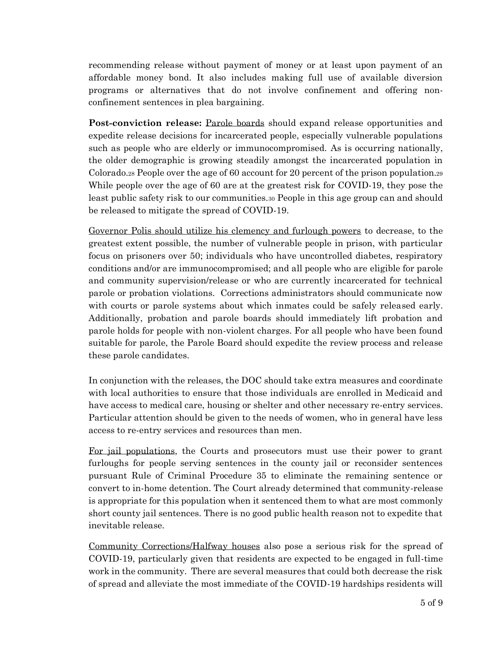recommending release without payment of money or at least upon payment of an affordable money bond. It also includes making full use of available diversion programs or alternatives that do not involve confinement and offering nonconfinement sentences in plea bargaining.

**Post-conviction release:** Parole boards should expand release opportunities and expedite release decisions for incarcerated people, especially vulnerable populations such as people who are elderly or immunocompromised. As is occurring nationally, the older demographic is growing steadily amongst the incarcerated population in Colorado.<sup>28</sup> People over the age of 60 account for 20 percent of the prison population.2[9](https://50stateblueprint.aclu.org/assets/reports/SJ-Blueprint-CT.pdf) While people over the age of 60 are at the greatest risk for COVID-19, they pose the least public safety risk to our communities.<sup>30</sup> People in this age group can and should be released to mitigate the spread of COVID-19.

Governor Polis should utilize his clemency and furlough powers to decrease, to the greatest extent possible, the number of vulnerable people in prison, with particular focus on prisoners over 50; individuals who have uncontrolled diabetes, respiratory conditions and/or are immunocompromised; and all people who are eligible for parole and community supervision/release or who are currently incarcerated for technical parole or probation violations. Corrections administrators should communicate now with courts or parole systems about which inmates could be safely released early. Additionally, probation and parole boards should immediately lift probation and parole holds for people with non-violent charges. For all people who have been found suitable for parole, the Parole Board should expedite the review process and release these parole candidates.

In conjunction with the releases, the DOC should take extra measures and coordinate with local authorities to ensure that those individuals are enrolled in Medicaid and have access to medical care, housing or shelter and other necessary re-entry services. Particular attention should be given to the needs of women, who in general have less access to re-entry services and resources than men.

For jail populations, the Courts and prosecutors must use their power to grant furloughs for people serving sentences in the county jail or reconsider sentences pursuant Rule of Criminal Procedure 35 to eliminate the remaining sentence or convert to in-home detention. The Court already determined that community-release is appropriate for this population when it sentenced them to what are most commonly short county jail sentences. There is no good public health reason not to expedite that inevitable release.

Community Corrections/Halfway houses also pose a serious risk for the spread of COVID-19, particularly given that residents are expected to be engaged in full-time work in the community. There are several measures that could both decrease the risk of spread and alleviate the most immediate of the COVID-19 hardships residents will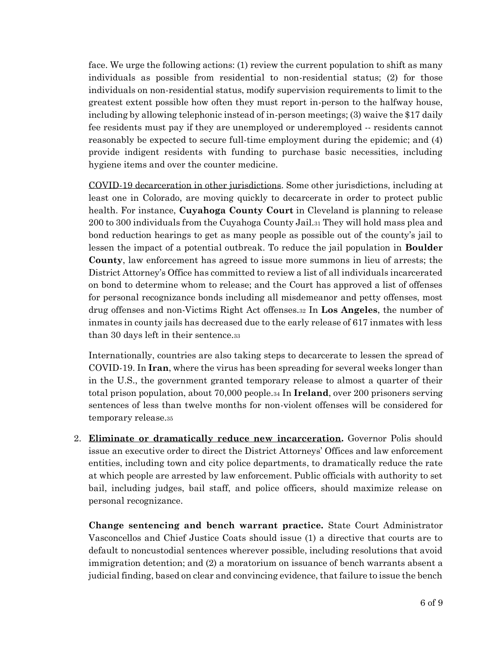face. We urge the following actions: (1) review the current population to shift as many individuals as possible from residential to non-residential status; (2) for those individuals on non-residential status, modify supervision requirements to limit to the greatest extent possible how often they must report in-person to the halfway house, including by allowing telephonic instead of in-person meetings; (3) waive the \$17 daily fee residents must pay if they are unemployed or underemployed -- residents cannot reasonably be expected to secure full-time employment during the epidemic; and (4) provide indigent residents with funding to purchase basic necessities, including hygiene items and over the counter medicine.

COVID-19 decarceration in other jurisdictions. Some other jurisdictions, including at least one in Colorado, are moving quickly to decarcerate in order to protect public health. For instance, **Cuyahoga County Court** in Cleveland is planning to release 200 to 300 individuals from the Cuyahoga County Jail.<sup>31</sup> They will hold mass plea and bond reduction hearings to get as many people as possible out of the county's jail to lessen the impact of a potential outbreak. To reduce the jail population in **Boulder County**, law enforcement has agreed to issue more summons in lieu of arrests; the District Attorney's Office has committed to review a list of all individuals incarcerated on bond to determine whom to release; and the Court has approved a list of offenses for personal recognizance bonds including all misdemeanor and petty offenses, most drug offenses and non-Victims Right Act offenses.<sup>32</sup> In **Los Angeles**, the number of inmates in county jails has decreased due to the early release of 617 inmates with less than 30 days left in their sentence.<sup>33</sup>

Internationally, countries are also taking steps to decarcerate to lessen the spread of COVID-19. In **Iran**, where the virus has been spreading for several weeks longer than in the U.S., the government granted temporary release to almost a quarter of their total prison population, about 70,000 people.<sup>34</sup> In **Ireland**, over 200 prisoners serving sentences of less than twelve months for non-violent offenses will be considered for temporary release.<sup>35</sup>

2. **Eliminate or dramatically reduce new incarceration.** Governor Polis should issue an executive order to direct the District Attorneys' Offices and law enforcement entities, including town and city police departments, to dramatically reduce the rate at which people are arrested by law enforcement. Public officials with authority to set bail, including judges, bail staff, and police officers, should maximize release on personal recognizance.

**Change sentencing and bench warrant practice.** State Court Administrator Vasconcellos and Chief Justice Coats should issue (1) a directive that courts are to default to noncustodial sentences wherever possible, including resolutions that avoid immigration detention; and (2) a moratorium on issuance of bench warrants absent a judicial finding, based on clear and convincing evidence, that failure to issue the bench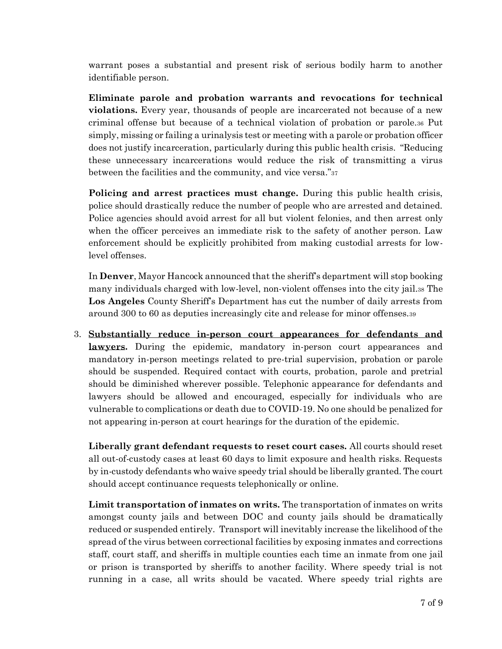warrant poses a substantial and present risk of serious bodily harm to another identifiable person.

**Eliminate parole and probation warrants and revocations for technical violations.** Every year, thousands of people are incarcerated not because of a new criminal offense but because of a technical violation of probation or parole.<sup>36</sup> Put simply, missing or failing a urinalysis test or meeting with a parole or probation officer does not justify incarceration, particularly during this public health crisis. "Reducing these unnecessary incarcerations would reduce the risk of transmitting a virus between the facilities and the community, and vice versa."<sup>37</sup>

**Policing and arrest practices must change.** During this public health crisis, police should drastically reduce the number of people who are arrested and detained. Police agencies should avoid arrest for all but violent felonies, and then arrest only when the officer perceives an immediate risk to the safety of another person. Law enforcement should be explicitly prohibited from making custodial arrests for lowlevel offenses.

In **Denver**, Mayor Hancock announced that the sheriff's department will stop booking many individuals charged with low-level, non-violent offenses into the city jail.<sup>38</sup> The **Los Angeles** County Sheriff's Department has cut the number of daily arrests from around 300 to 60 as deputies increasingly cite and release for minor offenses.<sup>39</sup>

3. **Substantially reduce in-person court appearances for defendants and lawyers.** During the epidemic, mandatory in-person court appearances and mandatory in-person meetings related to pre-trial supervision, probation or parole should be suspended. Required contact with courts, probation, parole and pretrial should be diminished wherever possible. Telephonic appearance for defendants and lawyers should be allowed and encouraged, especially for individuals who are vulnerable to complications or death due to COVID-19. No one should be penalized for not appearing in-person at court hearings for the duration of the epidemic.

**Liberally grant defendant requests to reset court cases.** All courts should reset all out-of-custody cases at least 60 days to limit exposure and health risks. Requests by in-custody defendants who waive speedy trial should be liberally granted. The court should accept continuance requests telephonically or online.

**Limit transportation of inmates on writs.** The transportation of inmates on writs amongst county jails and between DOC and county jails should be dramatically reduced or suspended entirely. Transport will inevitably increase the likelihood of the spread of the virus between correctional facilities by exposing inmates and corrections staff, court staff, and sheriffs in multiple counties each time an inmate from one jail or prison is transported by sheriffs to another facility. Where speedy trial is not running in a case, all writs should be vacated. Where speedy trial rights are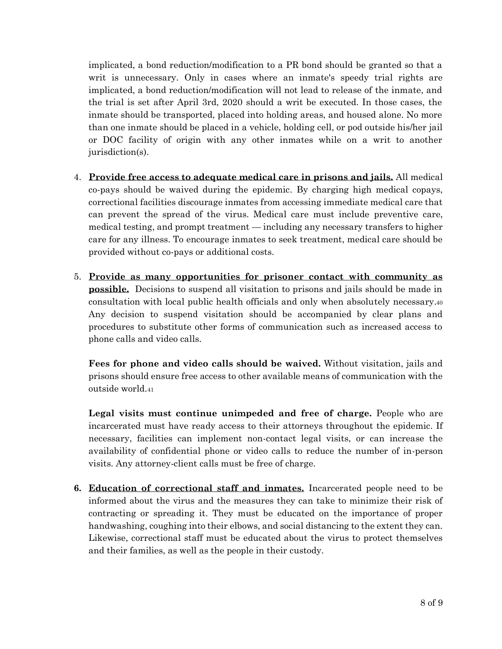implicated, a bond reduction/modification to a PR bond should be granted so that a writ is unnecessary. Only in cases where an inmate's speedy trial rights are implicated, a bond reduction/modification will not lead to release of the inmate, and the trial is set after April 3rd, 2020 should a writ be executed. In those cases, the inmate should be transported, placed into holding areas, and housed alone. No more than one inmate should be placed in a vehicle, holding cell, or pod outside his/her jail or DOC facility of origin with any other inmates while on a writ to another jurisdiction(s).

- 4. **Provide free access to adequate medical care in prisons and jails.** All medical co-pays should be waived during the epidemic. By charging high medical copays, correctional facilities discourage inmates from accessing immediate medical care that can prevent the spread of the virus. Medical care must include preventive care, medical testing, and prompt treatment — including any necessary transfers to higher care for any illness. To encourage inmates to seek treatment, medical care should be provided without co-pays or additional costs.
- 5. **Provide as many opportunities for prisoner contact with community as possible.** Decisions to suspend all visitation to prisons and jails should be made in consultation with local public health officials and only when absolutely necessary.<sup>40</sup> Any decision to suspend visitation should be accompanied by clear plans and procedures to substitute other forms of communication such as increased access to phone calls and video calls.

**Fees for phone and video calls should be waived.** Without visitation, jails and prisons should ensure free access to other available means of communication with the outside world.<sup>41</sup>

**Legal visits must continue unimpeded and free of charge.** People who are incarcerated must have ready access to their attorneys throughout the epidemic. If necessary, facilities can implement non-contact legal visits, or can increase the availability of confidential phone or video calls to reduce the number of in-person visits. Any attorney-client calls must be free of charge.

**6. Education of correctional staff and inmates.** Incarcerated people need to be informed about the virus and the measures they can take to minimize their risk of contracting or spreading it. They must be educated on the importance of proper handwashing, coughing into their elbows, and social distancing to the extent they can. Likewise, correctional staff must be educated about the virus to protect themselves and their families, as well as the people in their custody.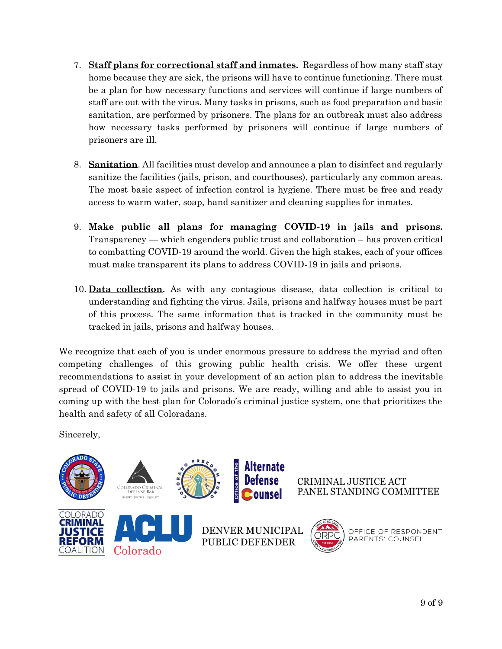- 7. **Staff plans for correctional staff and inmates.** Regardless of how many staff stay home because they are sick, the prisons will have to continue functioning. There must be a plan for how necessary functions and services will continue if large numbers of staff are out with the virus. Many tasks in prisons, such as food preparation and basic sanitation, are performed by prisoners. The plans for an outbreak must also address how necessary tasks performed by prisoners will continue if large numbers of prisoners are ill.
- 8. **Sanitation**. All facilities must develop and announce a plan to disinfect and regularly sanitize the facilities (jails, prison, and courthouses), particularly any common areas. The most basic aspect of infection control is hygiene. There must be free and ready access to warm water, soap, hand sanitizer and cleaning supplies for inmates.
- 9. **Make public all plans for managing COVID-19 in jails and prisons.** Transparency — which engenders public trust and collaboration – has proven critical to combatting COVID-19 around the world. Given the high stakes, each of your offices must make transparent its plans to address COVID-19 in jails and prisons.
- 10. **Data collection.** As with any contagious disease, data collection is critical to understanding and fighting the virus. Jails, prisons and halfway houses must be part of this process. The same information that is tracked in the community must be tracked in jails, prisons and halfway houses.

We recognize that each of you is under enormous pressure to address the myriad and often competing challenges of this growing public health crisis. We offer these urgent recommendations to assist in your development of an action plan to address the inevitable spread of COVID-19 to jails and prisons. We are ready, willing and able to assist you in coming up with the best plan for Colorado's criminal justice system, one that prioritizes the health and safety of all Coloradans.

Sincerely,

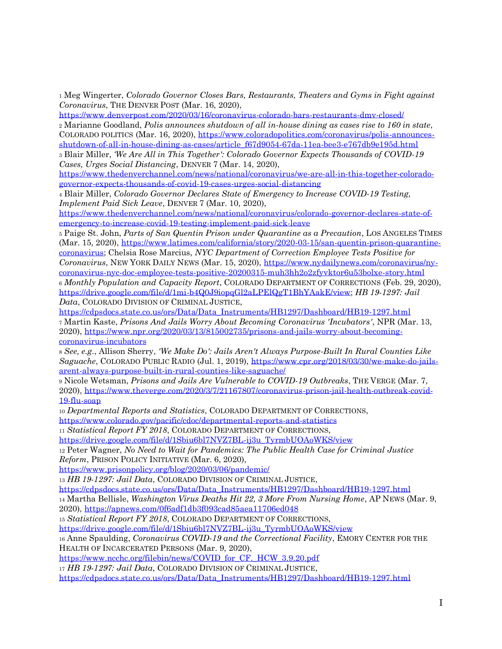<sup>1</sup> Meg Wingerter, *Colorado Governor Closes Bars, Restaurants, Theaters and Gyms in Fight against Coronavirus*, THE DENVER POST (Mar. 16, 2020),

<https://www.denverpost.com/2020/03/16/coronavirus-colorado-bars-restaurants-dmv-closed/>

<sup>2</sup> Marianne Goodland, *Polis announces shutdown of all in-house dining as cases rise to 160 in state*, COLORADO POLITICS (Mar. 16, 2020), [https://www.coloradopolitics.com/coronavirus/polis-announces](https://www.coloradopolitics.com/coronavirus/polis-announces-shutdown-of-all-in-house-dining-as-cases/article_f67d9054-67da-11ea-bee3-e767db9e195d.html)[shutdown-of-all-in-house-dining-as-cases/article\\_f67d9054-67da-11ea-bee3-e767db9e195d.html](https://www.coloradopolitics.com/coronavirus/polis-announces-shutdown-of-all-in-house-dining-as-cases/article_f67d9054-67da-11ea-bee3-e767db9e195d.html)

<sup>3</sup> Blair Miller, *'We Are All in This Together': Colorado Governor Expects Thousands of COVID-19 Cases, Urges Social Distancing*, DENVER 7 (Mar. 14, 2020),

[https://www.thedenverchannel.com/news/national/coronavirus/we-are-all-in-this-together-colorado](https://www.thedenverchannel.com/news/national/coronavirus/we-are-all-in-this-together-colorado-governor-expects-thousands-of-covid-19-cases-urges-social-distancing)[governor-expects-thousands-of-covid-19-cases-urges-social-distancing](https://www.thedenverchannel.com/news/national/coronavirus/we-are-all-in-this-together-colorado-governor-expects-thousands-of-covid-19-cases-urges-social-distancing)

<sup>4</sup> Blair Miller, *Colorado Governor Declares State of Emergency to Increase COVID-19 Testing, Implement Paid Sick Leave*, DENVER 7 (Mar. 10, 2020),

[https://www.thedenverchannel.com/news/national/coronavirus/colorado-governor-declares-state-of](https://www.thedenverchannel.com/news/national/coronavirus/colorado-governor-declares-state-of-emergency-to-increase-covid-19-testing-implement-paid-sick-leave)[emergency-to-increase-covid-19-testing-implement-paid-sick-leave](https://www.thedenverchannel.com/news/national/coronavirus/colorado-governor-declares-state-of-emergency-to-increase-covid-19-testing-implement-paid-sick-leave)

<sup>5</sup> Paige St. John, *Parts of San Quentin Prison under Quarantine as a Precaution*, LOS ANGELES TIMES (Mar. 15, 2020), [https://www.latimes.com/california/story/2020-03-15/san-quentin-prison-quarantine](https://www.latimes.com/california/story/2020-03-15/san-quentin-prison-quarantine-coronavirus)[coronavirus;](https://www.latimes.com/california/story/2020-03-15/san-quentin-prison-quarantine-coronavirus) Chelsia Rose Marcius, *NYC Department of Correction Employee Tests Positive for* 

*Coronavirus*, NEW YORK DAILY NEWS (Mar. 15, 2020), [https://www.nydailynews.com/coronavirus/ny](https://www.nydailynews.com/coronavirus/ny-coronavirus-nyc-doc-employee-tests-positive-20200315-muh3hh2o2zfyvktor6u53bolxe-story.html)[coronavirus-nyc-doc-employee-tests-positive-20200315-muh3hh2o2zfyvktor6u53bolxe-story.html](https://www.nydailynews.com/coronavirus/ny-coronavirus-nyc-doc-employee-tests-positive-20200315-muh3hh2o2zfyvktor6u53bolxe-story.html)

<sup>6</sup> *Monthly Population and Capacity Report*, COLORADO DEPARTMENT OF CORRECTIONS (Feb. 29, 2020), [https://drive.google.com/file/d/1mi-b4Q0J9iopqGl2aLPElQgT1BhYAakE/view;](https://drive.google.com/file/d/1mi-b4Q0J9iopqGl2aLPElQgT1BhYAakE/view) *HB 19-1297: Jail Data*, COLORADO DIVISION OF CRIMINAL JUSTICE[,](https://cdpsdocs.state.co.us/ors/Data/Data_Instruments/HB1297/Dashboard/HB19-1297.html)

[https://cdpsdocs.state.co.us/ors/Data/Data\\_Instruments/HB1297/Dashboard/HB19-1297.html](https://cdpsdocs.state.co.us/ors/Data/Data_Instruments/HB1297/Dashboard/HB19-1297.html) <sup>7</sup> Martin Kaste, *Prisons And Jails Worry About Becoming Coronavirus 'Incubators'*, NPR (Mar. 13, 2020), [https://www.npr.org/2020/03/13/815002735/prisons-and-jails-worry-about-becoming](https://www.npr.org/2020/03/13/815002735/prisons-and-jails-worry-about-becoming-coronavirus-incubators)[coronavirus-incubators](https://www.npr.org/2020/03/13/815002735/prisons-and-jails-worry-about-becoming-coronavirus-incubators)

<sup>8</sup> *See, e.g.*, Allison Sherry, *'We Make Do': Jails Aren't Always Purpose-Built In Rural Counties Like Saguache*, COLORADO PUBLIC RADIO (Jul. 1, 2019), [https://www.cpr.org/2018/03/30/we-make-do-jails](https://www.cpr.org/2018/03/30/we-make-do-jails-arent-always-purpose-built-in-rural-counties-like-saguache/)[arent-always-purpose-built-in-rural-counties-like-saguache/](https://www.cpr.org/2018/03/30/we-make-do-jails-arent-always-purpose-built-in-rural-counties-like-saguache/)

<sup>9</sup> Nicole Wetsman, *Prisons and Jails Are Vulnerable to COVID-19 Outbreaks*, THE VERGE (Mar. 7, 2020), [https://www.theverge.com/2020/3/7/21167807/coronavirus-prison-jail-health-outbreak-covid-](https://www.theverge.com/2020/3/7/21167807/coronavirus-prison-jail-health-outbreak-covid-19-flu-soap)[19-flu-soap](https://www.theverge.com/2020/3/7/21167807/coronavirus-prison-jail-health-outbreak-covid-19-flu-soap)

<sup>10</sup> *Departmental Reports and Statistics*, COLORADO DEPARTMENT OF CORRECTIONS[,](http://www.colorado.gov/pacific/cdoc/departmental-reports-and-statistics)

<https://www.colorado.gov/pacific/cdoc/departmental-reports-and-statistics>

<sup>11</sup> *Statistical Report FY 2018*, COLORADO DEPARTMENT OF CORRECTIONS,

[https://drive.google.com/file/d/1Sbiu6bl7NVZ7BL-ij3u\\_TyrmbUOAoWKS/view](https://drive.google.com/file/d/1Sbiu6bl7NVZ7BL-ij3u_TyrmbUOAoWKS/view)

<sup>12</sup> Peter Wagner, *No Need to Wait for Pandemics: The Public Health Case for Criminal Justice Reform*, PRISON POLICY INITIATIVE (Mar. 6, 2020),

<https://www.prisonpolicy.org/blog/2020/03/06/pandemic/>

<sup>13</sup> *HB 19-1297: Jail Data*, COLORADO DIVISION OF CRIMINAL JUSTICE[,](https://cdpsdocs.state.co.us/ors/Data/Data_Instruments/HB1297/Dashboard/HB19-1297.html)

[https://cdpsdocs.state.co.us/ors/Data/Data\\_Instruments/HB1297/Dashboard/HB19-1297.html](https://cdpsdocs.state.co.us/ors/Data/Data_Instruments/HB1297/Dashboard/HB19-1297.html)

<sup>14</sup> Martha Bellisle, *Washington Virus Deaths Hit 22, 3 More From Nursing Home*, AP NEWS (Mar. 9, 2020),<https://apnews.com/0f6adf1db3f093cad85aea11706ed048>

<sup>15</sup> *Statistical Report FY 2018*, COLORADO DEPARTMENT OF CORRECTIONS,

[https://drive.google.com/file/d/1Sbiu6bl7NVZ7BL-ij3u\\_TyrmbUOAoWKS/view](https://drive.google.com/file/d/1Sbiu6bl7NVZ7BL-ij3u_TyrmbUOAoWKS/view)

<sup>16</sup> Anne Spaulding, *Coronavirus COVID-19 and the Correctional Facility*, EMORY CENTER FOR THE HEALTH OF INCARCERATED PERSONS (Mar. 9, 2020),

[https://www.ncchc.org/filebin/news/COVID\\_for\\_CF.\\_HCW\\_3.9.20.pdf](https://www.ncchc.org/filebin/news/COVID_for_CF._HCW_3.9.20.pdf)

<sup>17</sup> *HB 19-1297: Jail Data*, COLORADO DIVISION OF CRIMINAL JUSTICE,

[https://cdpsdocs.state.co.us/ors/Data/Data\\_Instruments/HB1297/Dashboard/HB19-1297.html](https://cdpsdocs.state.co.us/ors/Data/Data_Instruments/HB1297/Dashboard/HB19-1297.html)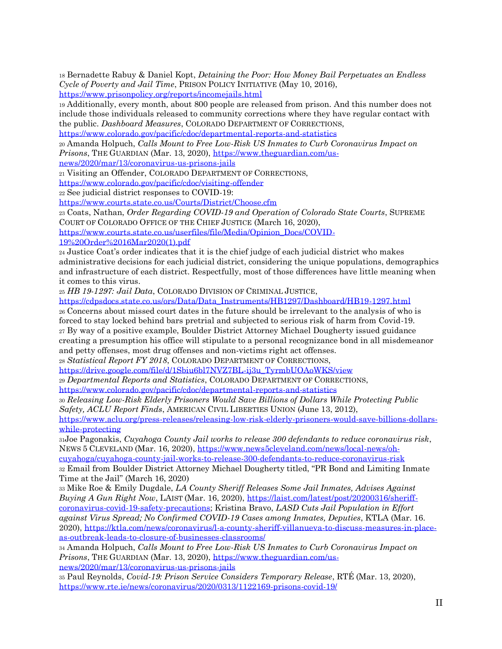<sup>18</sup> Bernadette Rabuy & Daniel Kopt, *Detaining the Poor: How Money Bail Perpetuates an Endless Cycle of Poverty and Jail Time*, PRISON POLICY INITIATIVE (May 10, 2016[\),](http://www.prisonpolicy.org/reports/incomejails.html)

<https://www.prisonpolicy.org/reports/incomejails.html>

<sup>19</sup> Additionally, every month, about 800 people are released from prison. And this number does not include those individuals released to community corrections where they have regular contact with the public. *Dashboard Measures*, COLORADO DEPARTMENT OF CORRECTIONS,

<https://www.colorado.gov/pacific/cdoc/departmental-reports-and-statistics>

<sup>20</sup> Amanda Holpuch, *Calls Mount to Free Low-Risk US Inmates to Curb Coronavirus Impact on Prisons*, THE GUARDIAN (Mar. 13, 2020), [https://www.theguardian.com/us-](https://www.theguardian.com/us-news/2020/mar/13/coronavirus-us-prisons-jails)

[news/2020/mar/13/coronavirus-us-prisons-jails](https://www.theguardian.com/us-news/2020/mar/13/coronavirus-us-prisons-jails)

<sup>21</sup> Visiting an Offender, COLORADO DEPARTMENT OF CORRECTIONS,

<https://www.colorado.gov/pacific/cdoc/visiting-offender>

<sup>22</sup> See judicial district responses to COVID-19:

<https://www.courts.state.co.us/Courts/District/Choose.cfm>

<sup>23</sup> Coats, Nathan, *Order Regarding COVID-19 and Operation of Colorado State Courts*, SUPREME COURT OF COLORADO OFFICE OF THE CHIEF JUSTICE (March 16, 2020),

[https://www.courts.state.co.us/userfiles/file/Media/Opinion\\_Docs/COVID-](https://www.courts.state.co.us/userfiles/file/Media/Opinion_Docs/COVID-19%20Order%2016Mar2020(1).pdf)

[19%20Order%2016Mar2020\(1\).pdf](https://www.courts.state.co.us/userfiles/file/Media/Opinion_Docs/COVID-19%20Order%2016Mar2020(1).pdf)

<sup>24</sup> Justice Coat's order indicates that it is the chief judge of each judicial district who makes administrative decisions for each judicial district, considering the unique populations, demographics and infrastructure of each district. Respectfully, most of those differences have little meaning when it comes to this virus.

<sup>25</sup> *HB 19-1297: Jail Data*, COLORADO DIVISION OF CRIMINAL JUSTICE[,](https://cdpsdocs.state.co.us/ors/Data/Data_Instruments/HB1297/Dashboard/HB19-1297.html)

[https://cdpsdocs.state.co.us/ors/Data/Data\\_Instruments/HB1297/Dashboard/HB19-1297.html](https://cdpsdocs.state.co.us/ors/Data/Data_Instruments/HB1297/Dashboard/HB19-1297.html) <sup>26</sup> Concerns about missed court dates in the future should be irrelevant to the analysis of who is forced to stay locked behind bars pretrial and subjected to serious risk of harm from Covid-19. <sup>27</sup> By way of a positive example, Boulder District Attorney Michael Dougherty issued guidance creating a presumption his office will stipulate to a personal recognizance bond in all misdemeanor and petty offenses, most drug offenses and non-victims right act offenses.

<sup>28</sup> *Statistical Report FY 2018*, COLORADO DEPARTMENT OF CORRECTIONS,

[https://drive.google.com/file/d/1Sbiu6bl7NVZ7BL-ij3u\\_TyrmbUOAoWKS/view](https://drive.google.com/file/d/1Sbiu6bl7NVZ7BL-ij3u_TyrmbUOAoWKS/view)

<sup>29</sup> *Departmental Reports and Statistics*, COLORADO DEPARTMENT OF CORRECTIONS[,](http://www.colorado.gov/pacific/cdoc/departmental-reports-and-statistics)

<https://www.colorado.gov/pacific/cdoc/departmental-reports-and-statistics>

<sup>30</sup> *Releasing Low-Risk Elderly Prisoners Would Save Billions of Dollars While Protecting Public Safety, ACLU Report Finds*, AMERICAN CIVIL LIBERTIES UNION (June 13, 2012),

[https://www.aclu.org/press-releases/releasing-low-risk-elderly-prisoners-would-save-billions-dollars](https://www.aclu.org/press-releases/releasing-low-risk-elderly-prisoners-would-save-billions-dollars-while-protecting)[while-protecting](https://www.aclu.org/press-releases/releasing-low-risk-elderly-prisoners-would-save-billions-dollars-while-protecting)

<sup>31</sup>Joe Pagonakis, *Cuyahoga County Jail works to release 300 defendants to reduce coronavirus risk*, NEWS 5 CLEVELAND (Mar. 16, 2020), [https://www.news5cleveland.com/news/local-news/oh-](https://www.news5cleveland.com/news/local-news/oh-cuyahoga/cuyahoga-county-jail-works-to-release-300-defendants-to-reduce-coronavirus-risk)

[cuyahoga/cuyahoga-county-jail-works-to-release-300-defendants-to-reduce-coronavirus-risk](https://www.news5cleveland.com/news/local-news/oh-cuyahoga/cuyahoga-county-jail-works-to-release-300-defendants-to-reduce-coronavirus-risk)

<sup>32</sup> Email from Boulder District Attorney Michael Dougherty titled, "PR Bond and Limiting Inmate Time at the Jail" (March 16, 2020)

<sup>33</sup> Mike Roe & Emily Dugdale, *LA County Sheriff Releases Some Jail Inmates, Advises Against Buying A Gun Right Now*, LAIST (Mar. 16, 2020), [https://laist.com/latest/post/20200316/sheriff](https://laist.com/latest/post/20200316/sheriff-coronavirus-covid-19-safety-precautions)[coronavirus-covid-19-safety-precautions;](https://laist.com/latest/post/20200316/sheriff-coronavirus-covid-19-safety-precautions) Kristina Bravo, *LASD Cuts Jail Population in Effort against Virus Spread; No Confirmed COVID-19 Cases among Inmates, Deputies*, KTLA (Mar. 16. 2020), [https://ktla.com/news/coronavirus/l-a-county-sheriff-villanueva-to-discuss-measures-in-place](https://ktla.com/news/coronavirus/l-a-county-sheriff-villanueva-to-discuss-measures-in-place-as-outbreak-leads-to-closure-of-businesses-classrooms/)[as-outbreak-leads-to-closure-of-businesses-classrooms/](https://ktla.com/news/coronavirus/l-a-county-sheriff-villanueva-to-discuss-measures-in-place-as-outbreak-leads-to-closure-of-businesses-classrooms/)

<sup>34</sup> Amanda Holpuch, *Calls Mount to Free Low-Risk US Inmates to Curb Coronavirus Impact on Prisons*, THE GUARDIAN (Mar. 13, 2020), [https://www.theguardian.com/us](https://www.theguardian.com/us-news/2020/mar/13/coronavirus-us-prisons-jails)[news/2020/mar/13/coronavirus-us-prisons-jails](https://www.theguardian.com/us-news/2020/mar/13/coronavirus-us-prisons-jails)

<sup>35</sup> Paul Reynolds, *Covid-19: Prison Service Considers Temporary Release*, RTÉ (Mar. 13, 2020), <https://www.rte.ie/news/coronavirus/2020/0313/1122169-prisons-covid-19/>